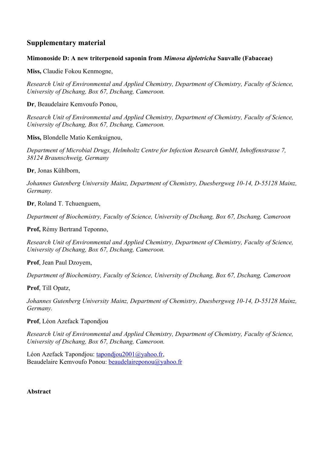## **Supplementary material**

## **Mimonoside D: A new triterpenoid saponin from** *Mimosa diplotricha* **Sauvalle (Fabaceae)**

**Miss,** Claudie Fokou Kenmogne,

*Research Unit of Environmental and Applied Chemistry, Department of Chemistry, Faculty of Science, University of Dschang, Box 67, Dschang, Cameroon.* 

**Dr**, Beaudelaire Kemvoufo Ponou,

*Research Unit of Environmental and Applied Chemistry, Department of Chemistry, Faculty of Science, University of Dschang, Box 67, Dschang, Cameroon.*

**Miss,** Blondelle Matio Kemkuignou,

*Department of Microbial Drugs, Helmholtz Centre for Infection Research GmbH, Inhoffenstrasse 7, 38124 Braunschweig, Germany*

**Dr**, Jonas Kühlborn,

*Johannes Gutenberg University Mainz, Department of Chemistry, Duesbergweg 10-14, D-55128 Mainz, Germany.*

**Dr**, Roland T. Tchuenguem,

*Department of Biochemistry, Faculty of Science, University of Dschang, Box 67, Dschang, Cameroon*

**Prof,** Rémy Bertrand Teponno,

*Research Unit of Environmental and Applied Chemistry, Department of Chemistry, Faculty of Science, University of Dschang, Box 67, Dschang, Cameroon.*

**Prof**, Jean Paul Dzoyem,

*Department of Biochemistry, Faculty of Science, University of Dschang, Box 67, Dschang, Cameroon*

**Prof**, Till Opatz,

*Johannes Gutenberg University Mainz, Department of Chemistry, Duesbergweg 10-14, D-55128 Mainz, Germany.*

## **Prof**, Léon Azefack Tapondjou

*Research Unit of Environmental and Applied Chemistry, Department of Chemistry, Faculty of Science, University of Dschang, Box 67, Dschang, Cameroon.*

Léon Azefack Tapondjou: [tapondjou2001@yahoo.fr](mailto:tapondjou2001@yahoo.fr), Beaudelaire Kemvoufo Ponou: [beaudelaireponou@yahoo.fr](mailto:beaudelaireponou@yahoo.fr)

**Abstract**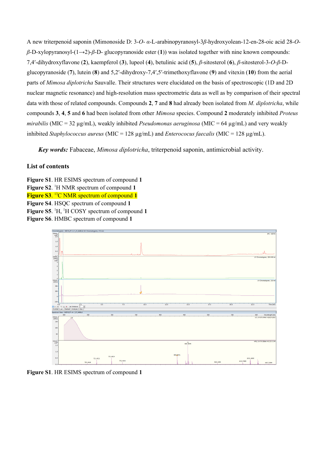A new triterpenoid saponin (Mimonoside D: 3-*O*- *α*-L-arabinopyranosyl-3*β*-hydroxyolean-12-en-28-oic acid 28-*Oβ*-D-xylopyranosyl-(1→2)-*β*-D- glucopyranoside ester (**1**)) was isolated together with nine known compounds: 7,4ʹ-dihydroxyflavone (**2**), kaempferol (**3**), lupeol (**4**), betulinic acid (**5**), *β*-sitosterol (**6**), *β*-sitosterol-3-*O*-*β*-Dglucopyranoside (**7**), lutein (**8**) and 5,2ʹ-dihydroxy-7,4ʹ,5ʹ-trimethoxyflavone (**9**) and vitexin (**10**) from the aerial parts of *Mimosa diplotricha* Sauvalle. Their structures were elucidated on the basis of spectroscopic (1D and 2D nuclear magnetic resonance) and high-resolution mass spectrometric data as well as by comparison of their spectral data with those of related compounds. Compounds **2**, **7** and **8** had already been isolated from *M. diplotricha*, while compounds **3**, **4**, **5** and **6** had been isolated from other *Mimosa* species. Compound **2** moderately inhibited *Proteus mirabilis* (MIC = 32 µg/mL), weakly inhibited *Pseudomonas aeruginosa* (MIC = 64 µg/mL) and very weakly inhibited *Staphylococcus aureus* (MIC = 128 µg/mL) and *Enterococus faecalis* (MIC = 128 µg/mL).

*Key words:* Fabaceae, *Mimosa diplotricha*, triterpenoid saponin, antimicrobial activity.

## **List of contents**

**Figure S1**. HR ESIMS spectrum of compound **1 Figure S2**. <sup>1</sup>H NMR spectrum of compound **1 Figure S3**. <sup>13</sup>C NMR spectrum of compound **1 Figure S4**. HSQC spectrum of compound **1 Figure S5**. <sup>1</sup>H, <sup>1</sup>H COSY spectrum of compound **1 Figure S6**. HMBC spectrum of compound **1**



**Figure S1**. HR ESIMS spectrum of compound **1**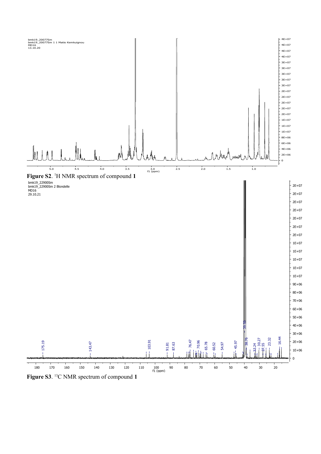

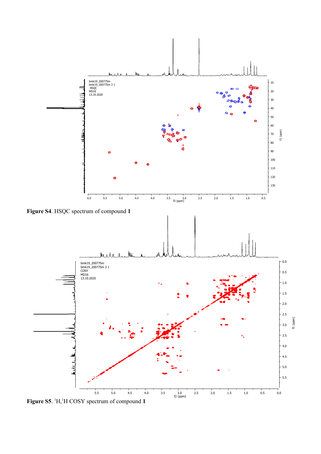

**Figure S5**. 1H,1H COSY spectrum of compound **1**